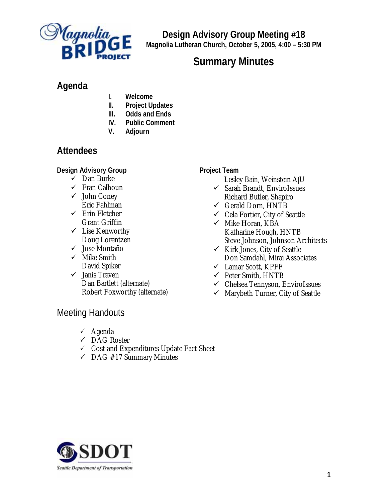

**Design Advisory Group Meeting #18 Magnolia Lutheran Church, October 5, 2005, 4:00 – 5:30 PM**

# **Summary Minutes**

# **Agenda**

- **I. Welcome**
- **II. Project Updates**
- **III. Odds and Ends**
- **IV. Public Comment**
- **V. Adjourn**

# **Attendees**

## **Design Advisory Group**

- $\checkmark$  Dan Burke
- $\checkmark$  Fran Calhoun
- $\checkmark$  John Coney Eric Fahlman
- $\checkmark$  Erin Fletcher Grant Griffin
- $\checkmark$  Lise Kenworthy Doug Lorentzen
- $\checkmark$  Jose Montaño
- $\checkmark$  Mike Smith David Spiker
- $\checkmark$  Janis Traven Dan Bartlett (alternate) Robert Foxworthy (alternate)

#### **Project Team**

- Lesley Bain, Weinstein A|U
- $\checkmark$  Sarah Brandt, EnviroIssues Richard Butler, Shapiro
- $\checkmark$  Gerald Dorn, HNTB
- 9 Cela Fortier, City of Seattle
- $\checkmark$  Mike Horan, KBA Katharine Hough, HNTB Steve Johnson, Johnson Architects
- $\checkmark$  Kirk Jones, City of Seattle Don Samdahl, Mirai Associates
- $\checkmark$  Lamar Scott, KPFF
- $\checkmark$  Peter Smith, HNTB
- $\checkmark$  Chelsea Tennyson, EnviroIssues
- $\checkmark$  Marybeth Turner, City of Seattle

## Meeting Handouts

- $\checkmark$  Agenda
- $\checkmark$  DAG Roster
- $\checkmark$  Cost and Expenditures Update Fact Sheet
- $\checkmark$  DAG #17 Summary Minutes

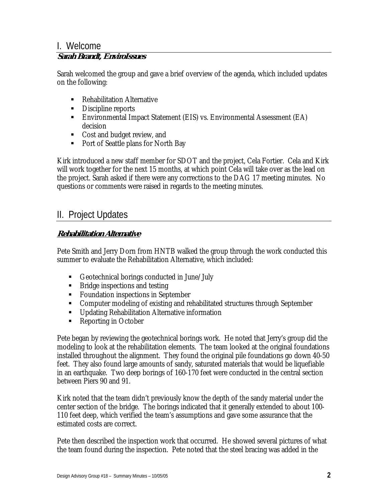## I. Welcome

## **Sarah Brandt, EnviroIssues**

Sarah welcomed the group and gave a brief overview of the agenda, which included updates on the following:

- Rehabilitation Alternative
- Discipline reports
- Environmental Impact Statement (EIS) vs. Environmental Assessment (EA) decision
- Cost and budget review, and
- Port of Seattle plans for North Bay

Kirk introduced a new staff member for SDOT and the project, Cela Fortier. Cela and Kirk will work together for the next 15 months, at which point Cela will take over as the lead on the project. Sarah asked if there were any corrections to the DAG 17 meeting minutes. No questions or comments were raised in regards to the meeting minutes.

# II. Project Updates

### **Rehabilitation Alternative**

Pete Smith and Jerry Dorn from HNTB walked the group through the work conducted this summer to evaluate the Rehabilitation Alternative, which included:

- Geotechnical borings conducted in June/July
- Bridge inspections and testing
- **Foundation inspections in September**
- Computer modeling of existing and rehabilitated structures through September
- **Updating Rehabilitation Alternative information**
- Reporting in October

Pete began by reviewing the geotechnical borings work. He noted that Jerry's group did the modeling to look at the rehabilitation elements. The team looked at the original foundations installed throughout the alignment. They found the original pile foundations go down 40-50 feet. They also found large amounts of sandy, saturated materials that would be liquefiable in an earthquake. Two deep borings of 160-170 feet were conducted in the central section between Piers 90 and 91.

Kirk noted that the team didn't previously know the depth of the sandy material under the center section of the bridge. The borings indicated that it generally extended to about 100- 110 feet deep, which verified the team's assumptions and gave some assurance that the estimated costs are correct.

Pete then described the inspection work that occurred. He showed several pictures of what the team found during the inspection. Pete noted that the steel bracing was added in the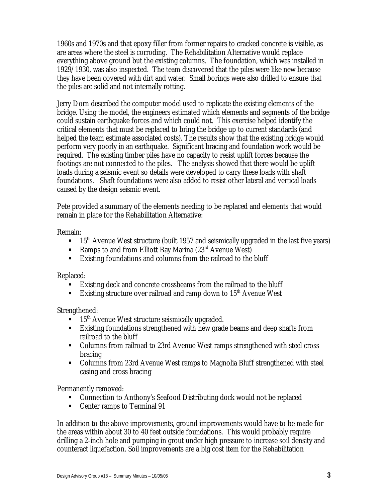1960s and 1970s and that epoxy filler from former repairs to cracked concrete is visible, as are areas where the steel is corroding. The Rehabilitation Alternative would replace everything above ground but the existing columns. The foundation, which was installed in 1929/1930, was also inspected. The team discovered that the piles were like new because they have been covered with dirt and water. Small borings were also drilled to ensure that the piles are solid and not internally rotting.

Jerry Dorn described the computer model used to replicate the existing elements of the bridge. Using the model, the engineers estimated which elements and segments of the bridge could sustain earthquake forces and which could not. This exercise helped identify the critical elements that must be replaced to bring the bridge up to current standards (and helped the team estimate associated costs). The results show that the existing bridge would perform very poorly in an earthquake. Significant bracing and foundation work would be required. The existing timber piles have no capacity to resist uplift forces because the footings are not connected to the piles. The analysis showed that there would be uplift loads during a seismic event so details were developed to carry these loads with shaft foundations. Shaft foundations were also added to resist other lateral and vertical loads caused by the design seismic event.

Pete provided a summary of the elements needing to be replaced and elements that would remain in place for the Rehabilitation Alternative:

Remain:

- $\blacksquare$  15<sup>th</sup> Avenue West structure (built 1957 and seismically upgraded in the last five years)
- Ramps to and from Elliott Bay Marina  $(23<sup>rd</sup>$  Avenue West)
- Existing foundations and columns from the railroad to the bluff

Replaced:

- Existing deck and concrete crossbeams from the railroad to the bluff
- Existing structure over railroad and ramp down to  $15<sup>th</sup>$  Avenue West

Strengthened:

- $\blacksquare$  15<sup>th</sup> Avenue West structure seismically upgraded.
- Existing foundations strengthened with new grade beams and deep shafts from railroad to the bluff
- Columns from railroad to 23rd Avenue West ramps strengthened with steel cross bracing
- Columns from 23rd Avenue West ramps to Magnolia Bluff strengthened with steel casing and cross bracing

Permanently removed:

- Connection to Anthony's Seafood Distributing dock would not be replaced
- Center ramps to Terminal 91

In addition to the above improvements, ground improvements would have to be made for the areas within about 30 to 40 feet outside foundations. This would probably require drilling a 2-inch hole and pumping in grout under high pressure to increase soil density and counteract liquefaction. Soil improvements are a big cost item for the Rehabilitation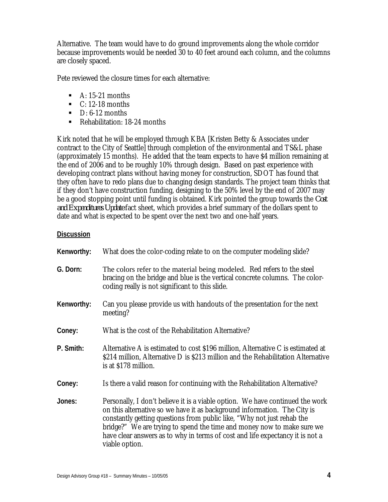Alternative. The team would have to do ground improvements along the whole corridor because improvements would be needed 30 to 40 feet around each column, and the columns are closely spaced.

Pete reviewed the closure times for each alternative:

- $\blacksquare$  A: 15-21 months
- $\blacksquare$  C: 12-18 months
- $\blacksquare$  D: 6-12 months
- Rehabilitation: 18-24 months

Kirk noted that he will be employed through KBA [Kristen Betty & Associates under contract to the City of Seattle] through completion of the environmental and TS&L phase (approximately 15 months). He added that the team expects to have \$4 million remaining at the end of 2006 and to be roughly 10% through design. Based on past experience with developing contract plans without having money for construction, SDOT has found that they often have to redo plans due to changing design standards. The project team thinks that if they don't have construction funding, designing to the 50% level by the end of 2007 may be a good stopping point until funding is obtained. Kirk pointed the group towards the *Cost and Expenditures Update* fact sheet, which provides a brief summary of the dollars spent to date and what is expected to be spent over the next two and one-half years.

#### **Discussion**

| Kenworthy: | What does the color-coding relate to on the computer modeling slide?                                                                                                                                                                                                                                                                                                                                             |
|------------|------------------------------------------------------------------------------------------------------------------------------------------------------------------------------------------------------------------------------------------------------------------------------------------------------------------------------------------------------------------------------------------------------------------|
| G. Dorn:   | The colors refer to the material being modeled. Red refers to the steel<br>bracing on the bridge and blue is the vertical concrete columns. The color-<br>coding really is not significant to this slide.                                                                                                                                                                                                        |
| Kenworthy: | Can you please provide us with handouts of the presentation for the next<br>meeting?                                                                                                                                                                                                                                                                                                                             |
| Coney:     | What is the cost of the Rehabilitation Alternative?                                                                                                                                                                                                                                                                                                                                                              |
| P. Smith:  | Alternative A is estimated to cost \$196 million, Alternative C is estimated at<br>\$214 million, Alternative D is \$213 million and the Rehabilitation Alternative<br>is at \$178 million.                                                                                                                                                                                                                      |
| Coney:     | Is there a valid reason for continuing with the Rehabilitation Alternative?                                                                                                                                                                                                                                                                                                                                      |
| Jones:     | Personally, I don't believe it is a viable option. We have continued the work<br>on this alternative so we have it as background information. The City is<br>constantly getting questions from public like, "Why not just rehab the<br>bridge?" We are trying to spend the time and money now to make sure we<br>have clear answers as to why in terms of cost and life expectancy it is not a<br>viable option. |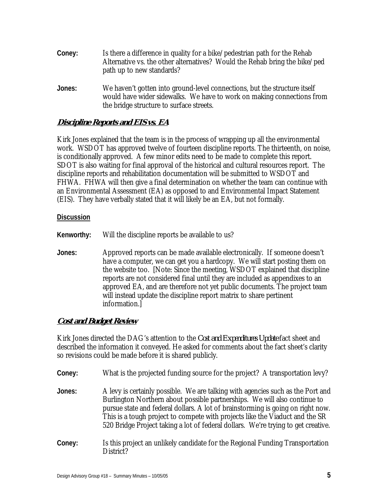- **Coney:** Is there a difference in quality for a bike/pedestrian path for the Rehab Alternative vs. the other alternatives? Would the Rehab bring the bike/ped path up to new standards?
- **Jones:** We haven't gotten into ground-level connections, but the structure itself would have wider sidewalks. We have to work on making connections from the bridge structure to surface streets.

#### **Discipline Reports and EIS vs. EA**

Kirk Jones explained that the team is in the process of wrapping up all the environmental work. WSDOT has approved twelve of fourteen discipline reports. The thirteenth, on noise, is conditionally approved. A few minor edits need to be made to complete this report. SDOT is also waiting for final approval of the historical and cultural resources report. The discipline reports and rehabilitation documentation will be submitted to WSDOT and FHWA. FHWA will then give a final determination on whether the team can continue with an Environmental Assessment (EA) as opposed to and Environmental Impact Statement (EIS). They have verbally stated that it will likely be an EA, but not formally.

#### **Discussion**

**Kenworthy:** Will the discipline reports be available to us?

**Jones:** Approved reports can be made available electronically. If someone doesn't have a computer, we can get you a hardcopy. We will start posting them on the website too. [Note: Since the meeting, WSDOT explained that discipline reports are not considered final until they are included as appendixes to an approved EA, and are therefore not yet public documents. The project team will instead update the discipline report matrix to share pertinent information.]

#### **Cost and Budget Review**

Kirk Jones directed the DAG's attention to the *Cost and Expenditures Update* fact sheet and described the information it conveyed. He asked for comments about the fact sheet's clarity so revisions could be made before it is shared publicly.

- **Coney:** What is the projected funding source for the project? A transportation levy?
- **Jones:** A levy is certainly possible. We are talking with agencies such as the Port and Burlington Northern about possible partnerships. We will also continue to pursue state and federal dollars. A lot of brainstorming is going on right now. This is a tough project to compete with projects like the Viaduct and the SR 520 Bridge Project taking a lot of federal dollars. We're trying to get creative.
- **Coney:** Is this project an unlikely candidate for the Regional Funding Transportation District?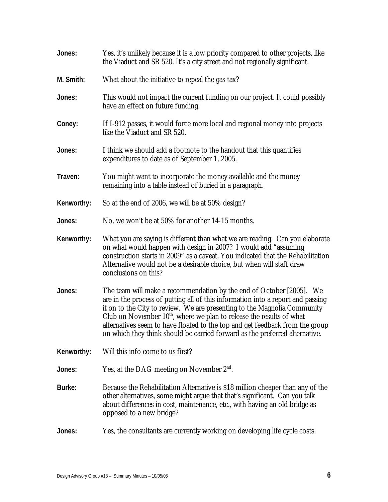| Jones:     | Yes, it's unlikely because it is a low priority compared to other projects, like<br>the Viaduct and SR 520. It's a city street and not regionally significant.                                                                                                                                                                                                                                                                                                                         |
|------------|----------------------------------------------------------------------------------------------------------------------------------------------------------------------------------------------------------------------------------------------------------------------------------------------------------------------------------------------------------------------------------------------------------------------------------------------------------------------------------------|
| M. Smith:  | What about the initiative to repeal the gas tax?                                                                                                                                                                                                                                                                                                                                                                                                                                       |
| Jones:     | This would not impact the current funding on our project. It could possibly<br>have an effect on future funding.                                                                                                                                                                                                                                                                                                                                                                       |
| Coney:     | If I-912 passes, it would force more local and regional money into projects<br>like the Viaduct and SR 520.                                                                                                                                                                                                                                                                                                                                                                            |
| Jones:     | I think we should add a footnote to the handout that this quantifies<br>expenditures to date as of September 1, 2005.                                                                                                                                                                                                                                                                                                                                                                  |
| Traven:    | You might want to incorporate the money available and the money<br>remaining into a table instead of buried in a paragraph.                                                                                                                                                                                                                                                                                                                                                            |
| Kenworthy: | So at the end of 2006, we will be at 50% design?                                                                                                                                                                                                                                                                                                                                                                                                                                       |
| Jones:     | No, we won't be at 50% for another 14-15 months.                                                                                                                                                                                                                                                                                                                                                                                                                                       |
| Kenworthy: | What you are saying is different than what we are reading. Can you elaborate<br>on what would happen with design in 2007? I would add "assuming<br>construction starts in 2009" as a caveat. You indicated that the Rehabilitation<br>Alternative would not be a desirable choice, but when will staff draw<br>conclusions on this?                                                                                                                                                    |
| Jones:     | The team will make a recommendation by the end of October [2005]. We<br>are in the process of putting all of this information into a report and passing<br>it on to the City to review. We are presenting to the Magnolia Community<br>Club on November 10 <sup>th</sup> , where we plan to release the results of what<br>alternatives seem to have floated to the top and get feedback from the group<br>on which they think should be carried forward as the preferred alternative. |
| Kenworthy: | Will this info come to us first?                                                                                                                                                                                                                                                                                                                                                                                                                                                       |
| Jones:     | Yes, at the DAG meeting on November $2nd$ .                                                                                                                                                                                                                                                                                                                                                                                                                                            |
| Burke:     | Because the Rehabilitation Alternative is \$18 million cheaper than any of the<br>other alternatives, some might argue that that's significant. Can you talk<br>about differences in cost, maintenance, etc., with having an old bridge as<br>opposed to a new bridge?                                                                                                                                                                                                                 |
| Jones:     | Yes, the consultants are currently working on developing life cycle costs.                                                                                                                                                                                                                                                                                                                                                                                                             |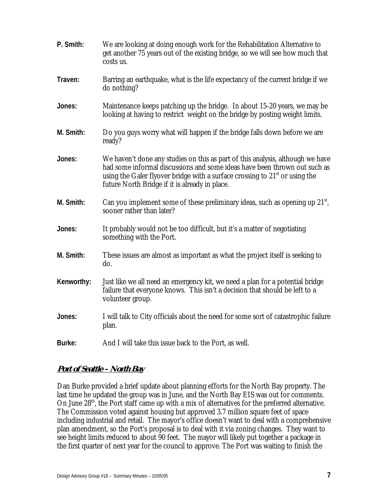| P. Smith:  | We are looking at doing enough work for the Rehabilitation Alternative to<br>get another 75 years out of the existing bridge, so we will see how much that<br>costs us.                                                                                                                        |
|------------|------------------------------------------------------------------------------------------------------------------------------------------------------------------------------------------------------------------------------------------------------------------------------------------------|
| Traven:    | Barring an earthquake, what is the life expectancy of the current bridge if we<br>do nothing?                                                                                                                                                                                                  |
| Jones:     | Maintenance keeps patching up the bridge. In about 15-20 years, we may be<br>looking at having to restrict weight on the bridge by posting weight limits.                                                                                                                                      |
| M. Smith:  | Do you guys worry what will happen if the bridge falls down before we are<br>ready?                                                                                                                                                                                                            |
| Jones:     | We haven't done any studies on this as part of this analysis, although we have<br>had some informal discussions and some ideas have been thrown out such as<br>using the Galer flyover bridge with a surface crossing to $21st$ or using the<br>future North Bridge if it is already in place. |
| M. Smith:  | Can you implement some of these preliminary ideas, such as opening up $21st$ ,<br>sooner rather than later?                                                                                                                                                                                    |
| Jones:     | It probably would not be too difficult, but it's a matter of negotiating<br>something with the Port.                                                                                                                                                                                           |
| M. Smith:  | These issues are almost as important as what the project itself is seeking to<br>do.                                                                                                                                                                                                           |
| Kenworthy: | Just like we all need an emergency kit, we need a plan for a potential bridge<br>failure that everyone knows. This isn't a decision that should be left to a<br>volunteer group.                                                                                                               |
| Jones:     | I will talk to City officials about the need for some sort of catastrophic failure<br>plan.                                                                                                                                                                                                    |
| Burke:     | And I will take this issue back to the Port, as well.                                                                                                                                                                                                                                          |

#### **Port of Seattle – North Bay**

Dan Burke provided a brief update about planning efforts for the North Bay property. The last time he updated the group was in June, and the North Bay EIS was out for comments. On June 28<sup>th</sup>, the Port staff came up with a mix of alternatives for the preferred alternative. The Commission voted against housing but approved 3.7 million square feet of space including industrial and retail. The mayor's office doesn't want to deal with a comprehensive plan amendment, so the Port's proposal is to deal with it via zoning changes. They want to see height limits reduced to about 90 feet. The mayor will likely put together a package in the first quarter of next year for the council to approve. The Port was waiting to finish the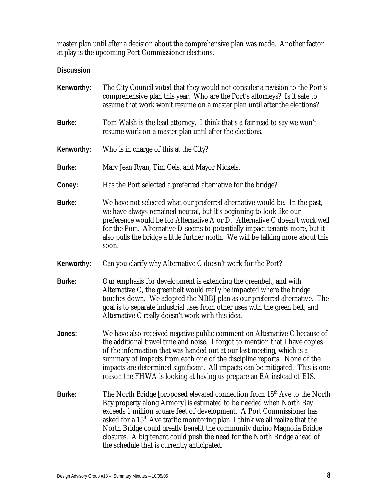master plan until after a decision about the comprehensive plan was made. Another factor at play is the upcoming Port Commissioner elections.

### **Discussion**

| Kenworthy: | The City Council voted that they would not consider a revision to the Port's<br>comprehensive plan this year. Who are the Port's attorneys? Is it safe to<br>assume that work won't resume on a master plan until after the elections?                                                                                                                                                                                                                                                                                         |
|------------|--------------------------------------------------------------------------------------------------------------------------------------------------------------------------------------------------------------------------------------------------------------------------------------------------------------------------------------------------------------------------------------------------------------------------------------------------------------------------------------------------------------------------------|
| Burke:     | Tom Walsh is the lead attorney. I think that's a fair read to say we won't<br>resume work on a master plan until after the elections.                                                                                                                                                                                                                                                                                                                                                                                          |
| Kenworthy: | Who is in charge of this at the City?                                                                                                                                                                                                                                                                                                                                                                                                                                                                                          |
| Burke:     | Mary Jean Ryan, Tim Ceis, and Mayor Nickels.                                                                                                                                                                                                                                                                                                                                                                                                                                                                                   |
| Coney:     | Has the Port selected a preferred alternative for the bridge?                                                                                                                                                                                                                                                                                                                                                                                                                                                                  |
| Burke:     | We have not selected what our preferred alternative would be. In the past,<br>we have always remained neutral, but it's beginning to look like our<br>preference would be for Alternative A or D. Alternative C doesn't work well<br>for the Port. Alternative D seems to potentially impact tenants more, but it<br>also pulls the bridge a little further north. We will be talking more about this<br>soon.                                                                                                                 |
| Kenworthy: | Can you clarify why Alternative C doesn't work for the Port?                                                                                                                                                                                                                                                                                                                                                                                                                                                                   |
| Burke:     | Our emphasis for development is extending the greenbelt, and with<br>Alternative C, the greenbelt would really be impacted where the bridge<br>touches down. We adopted the NBBJ plan as our preferred alternative. The<br>goal is to separate industrial uses from other uses with the green belt, and<br>Alternative C really doesn't work with this idea.                                                                                                                                                                   |
| Jones:     | We have also received negative public comment on Alternative C because of<br>the additional travel time and noise. I forgot to mention that I have copies<br>of the information that was handed out at our last meeting, which is a<br>summary of impacts from each one of the discipline reports. None of the<br>impacts are determined significant. All impacts can be mitigated. This is one<br>reason the FHWA is looking at having us prepare an EA instead of EIS.                                                       |
| Burke:     | The North Bridge [proposed elevated connection from 15 <sup>th</sup> Ave to the North<br>Bay property along Armory] is estimated to be needed when North Bay<br>exceeds 1 million square feet of development. A Port Commissioner has<br>asked for a $15th$ Ave traffic monitoring plan. I think we all realize that the<br>North Bridge could greatly benefit the community during Magnolia Bridge<br>closures. A big tenant could push the need for the North Bridge ahead of<br>the schedule that is currently anticipated. |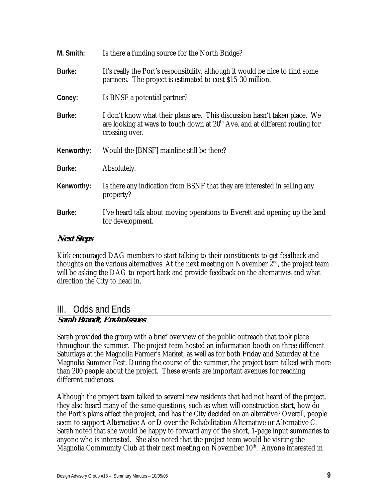| M. Smith:  | Is there a funding source for the North Bridge?                                                                                                                              |
|------------|------------------------------------------------------------------------------------------------------------------------------------------------------------------------------|
| Burke:     | It's really the Port's responsibility, although it would be nice to find some<br>partners. The project is estimated to cost \$15-30 million.                                 |
| Coney:     | Is BNSF a potential partner?                                                                                                                                                 |
| Burke:     | I don't know what their plans are. This discussion hasn't taken place. We<br>are looking at ways to touch down at $20th$ Ave. and at different routing for<br>crossing over. |
| Kenworthy: | Would the [BNSF] mainline still be there?                                                                                                                                    |
| Burke:     | Absolutely.                                                                                                                                                                  |
| Kenworthy: | Is there any indication from BSNF that they are interested in selling any<br>property?                                                                                       |
| Burke:     | I've heard talk about moving operations to Everett and opening up the land<br>for development.                                                                               |

#### **Next Steps**

Kirk encouraged DAG members to start talking to their constituents to get feedback and thoughts on the various alternatives. At the next meeting on November  $2<sup>nd</sup>$ , the project team will be asking the DAG to report back and provide feedback on the alternatives and what direction the City to head in.

# III. Odds and Ends

#### **Sarah Brandt, EnviroIssues**

Sarah provided the group with a brief overview of the public outreach that took place throughout the summer. The project team hosted an information booth on three different Saturdays at the Magnolia Farmer's Market, as well as for both Friday and Saturday at the Magnolia Summer Fest. During the course of the summer, the project team talked with more than 200 people about the project. These events are important avenues for reaching different audiences.

Although the project team talked to several new residents that had not heard of the project, they also heard many of the same questions, such as when will construction start, how do the Port's plans affect the project, and has the City decided on an alterative? Overall, people seem to support Alternative A or D over the Rehabilitation Alternative or Alternative C. Sarah noted that she would be happy to forward any of the short, 1-page input summaries to anyone who is interested. She also noted that the project team would be visiting the Magnolia Community Club at their next meeting on November  $10<sup>th</sup>$ . Anyone interested in